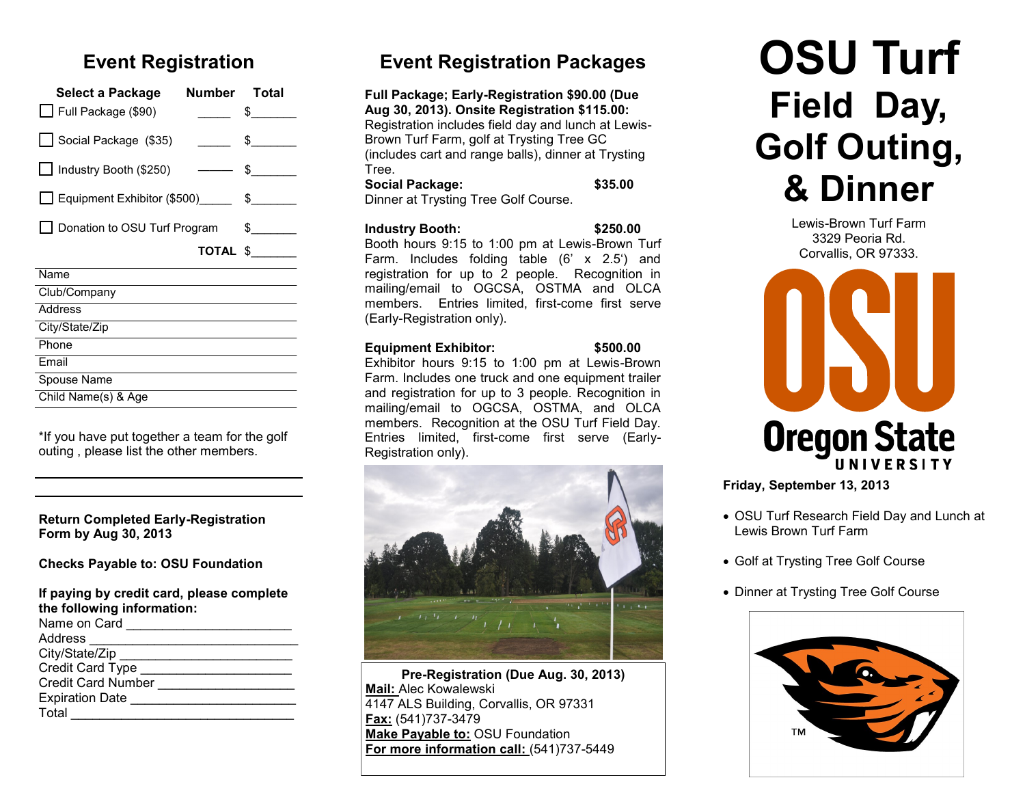# **Event Registration**

| Select a Package<br>Full Package (\$90) | Number Total             | $\frac{1}{2}$               |  |  |
|-----------------------------------------|--------------------------|-----------------------------|--|--|
| Social Package (\$35)                   |                          | $\frac{1}{2}$               |  |  |
| Industry Booth (\$250)                  | $\overline{\phantom{a}}$ | $\Omega$                    |  |  |
| $\Box$ Equipment Exhibitor (\$500)      |                          | $\frac{1}{2}$               |  |  |
| Donation to OSU Turf Program            |                          | $\mathbb S$ and $\mathbb S$ |  |  |
|                                         |                          | TOTAL \$                    |  |  |
| Name                                    |                          |                             |  |  |
| Club/Company                            |                          |                             |  |  |
| Address                                 |                          |                             |  |  |
| City/State/Zip                          |                          |                             |  |  |
| Phone                                   |                          |                             |  |  |
| <b>Fmail</b>                            |                          |                             |  |  |
| Spouse Name                             |                          |                             |  |  |
| Child Name(s) & Age                     |                          |                             |  |  |

\*If you have put together a team for the golf outing , please list the other members.

#### **Return Completed Early-Registration Form by Aug 30, 2013**

**Checks Payable to: OSU Foundation**

| If paying by credit card, please complete<br>the following information: |  |  |  |  |
|-------------------------------------------------------------------------|--|--|--|--|
|                                                                         |  |  |  |  |
| Address ___________________                                             |  |  |  |  |
| City/State/Zip                                                          |  |  |  |  |
| Credit Card Type                                                        |  |  |  |  |
| <b>Credit Card Number</b>                                               |  |  |  |  |
| Expiration Date                                                         |  |  |  |  |
| Total                                                                   |  |  |  |  |

# **Event Registration Packages**

**Full Package; Early-Registration \$90.00 (Due Aug 30, 2013). Onsite Registration \$115.00:**  Registration includes field day and lunch at Lewis-Brown Turf Farm, golf at Trysting Tree GC (includes cart and range balls), dinner at Trysting Tree. **Social Package: \$35.00**

Dinner at Trysting Tree Golf Course.

#### **Industry Booth: \$250.00**

Booth hours 9:15 to 1:00 pm at Lewis-Brown Turf Farm. Includes folding table (6' x 2.5') and registration for up to 2 people. Recognition in mailing/email to OGCSA, OSTMA and OLCA members. Entries limited, first-come first serve (Early-Registration only).

#### **Equipment Exhibitor: \$500.00**

Exhibitor hours 9:15 to 1:00 pm at Lewis-Brown Farm. Includes one truck and one equipment trailer and registration for up to 3 people. Recognition in mailing/email to OGCSA, OSTMA, and OLCA members. Recognition at the OSU Turf Field Day. Entries limited, first-come first serve (Early-Registration only).



**Pre-Registration (Due Aug. 30, 2013) Mail:** Alec Kowalewski 4147 ALS Building, Corvallis, OR 97331 **Fax:** (541)737-3479 **Make Payable to:** OSU Foundation **For more information call:** (541)737-5449

# **OSU Turf Field Day, Golf Outing, & Dinner**

Lewis-Brown Turf Farm 3329 Peoria Rd. Corvallis, OR 97333.



**Friday, September 13, 2013**

- OSU Turf Research Field Day and Lunch at Lewis Brown Turf Farm
- Golf at Trysting Tree Golf Course
- Dinner at Trysting Tree Golf Course